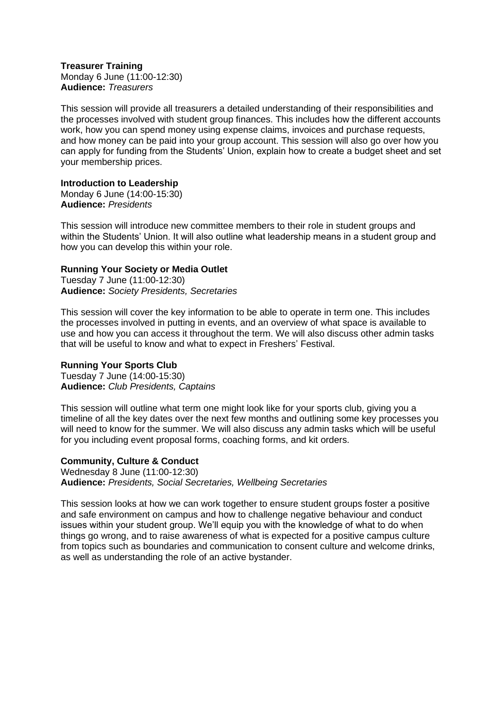**Treasurer Training** Monday 6 June (11:00-12:30) **Audience:** *Treasurers*

This session will provide all treasurers a detailed understanding of their responsibilities and the processes involved with student group finances. This includes how the different accounts work, how you can spend money using expense claims, invoices and purchase requests, and how money can be paid into your group account. This session will also go over how you can apply for funding from the Students' Union, explain how to create a budget sheet and set your membership prices.

# **Introduction to Leadership**

Monday 6 June (14:00-15:30) **Audience:** *Presidents*

This session will introduce new committee members to their role in student groups and within the Students' Union. It will also outline what leadership means in a student group and how you can develop this within your role.

# **Running Your Society or Media Outlet**

Tuesday 7 June (11:00-12:30) **Audience:** *Society Presidents, Secretaries*

This session will cover the key information to be able to operate in term one. This includes the processes involved in putting in events, and an overview of what space is available to use and how you can access it throughout the term. We will also discuss other admin tasks that will be useful to know and what to expect in Freshers' Festival.

### **Running Your Sports Club**

Tuesday 7 June (14:00-15:30) **Audience:** *Club Presidents, Captains*

This session will outline what term one might look like for your sports club, giving you a timeline of all the key dates over the next few months and outlining some key processes you will need to know for the summer. We will also discuss any admin tasks which will be useful for you including event proposal forms, coaching forms, and kit orders.

### **Community, Culture & Conduct**

Wednesday 8 June (11:00-12:30) **Audience:** *Presidents, Social Secretaries, Wellbeing Secretaries*

This session looks at how we can work together to ensure student groups foster a positive and safe environment on campus and how to challenge negative behaviour and conduct issues within your student group. We'll equip you with the knowledge of what to do when things go wrong, and to raise awareness of what is expected for a positive campus culture from topics such as boundaries and communication to consent culture and welcome drinks, as well as understanding the role of an active bystander.